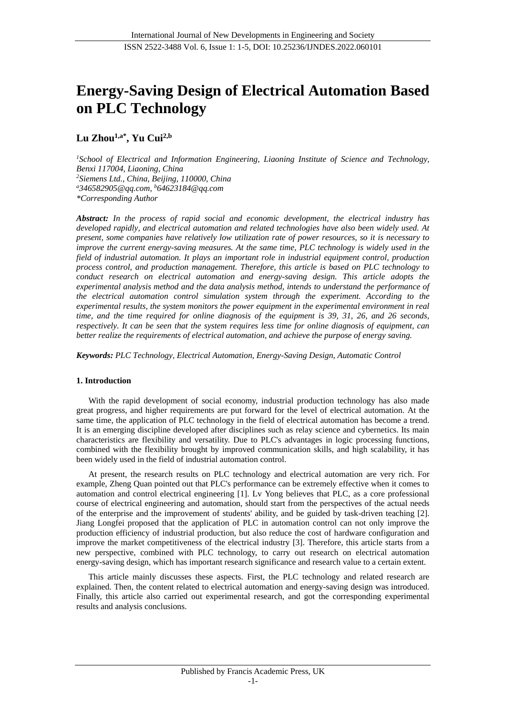# **Energy-Saving Design of Electrical Automation Based on PLC Technology**

## **Lu Zhou1,a\*, Yu Cui2,b**

*<sup>1</sup>School of Electrical and Information Engineering, Liaoning Institute of Science and Technology, Benxi 117004, Liaoning, China <sup>2</sup>Siemens Ltd., China, Beijing, 110000, China <sup>a</sup>346582905@qq.com, <sup>b</sup>64623184@qq.com \*Corresponding Author*

*Abstract: In the process of rapid social and economic development, the electrical industry has developed rapidly, and electrical automation and related technologies have also been widely used. At present, some companies have relatively low utilization rate of power resources, so it is necessary to improve the current energy-saving measures. At the same time, PLC technology is widely used in the field of industrial automation. It plays an important role in industrial equipment control, production process control, and production management. Therefore, this article is based on PLC technology to conduct research on electrical automation and energy-saving design. This article adopts the experimental analysis method and the data analysis method, intends to understand the performance of the electrical automation control simulation system through the experiment. According to the experimental results, the system monitors the power equipment in the experimental environment in real time, and the time required for online diagnosis of the equipment is 39, 31, 26, and 26 seconds, respectively. It can be seen that the system requires less time for online diagnosis of equipment, can better realize the requirements of electrical automation, and achieve the purpose of energy saving.*

*Keywords: PLC Technology, Electrical Automation, Energy-Saving Design, Automatic Control*

## **1. Introduction**

With the rapid development of social economy, industrial production technology has also made great progress, and higher requirements are put forward for the level of electrical automation. At the same time, the application of PLC technology in the field of electrical automation has become a trend. It is an emerging discipline developed after disciplines such as relay science and cybernetics. Its main characteristics are flexibility and versatility. Due to PLC's advantages in logic processing functions, combined with the flexibility brought by improved communication skills, and high scalability, it has been widely used in the field of industrial automation control.

At present, the research results on PLC technology and electrical automation are very rich. For example, Zheng Quan pointed out that PLC's performance can be extremely effective when it comes to automation and control electrical engineering [1]. Lv Yong believes that PLC, as a core professional course of electrical engineering and automation, should start from the perspectives of the actual needs of the enterprise and the improvement of students' ability, and be guided by task-driven teaching [2]. Jiang Longfei proposed that the application of PLC in automation control can not only improve the production efficiency of industrial production, but also reduce the cost of hardware configuration and improve the market competitiveness of the electrical industry [3]. Therefore, this article starts from a new perspective, combined with PLC technology, to carry out research on electrical automation energy-saving design, which has important research significance and research value to a certain extent.

This article mainly discusses these aspects. First, the PLC technology and related research are explained. Then, the content related to electrical automation and energy-saving design was introduced. Finally, this article also carried out experimental research, and got the corresponding experimental results and analysis conclusions.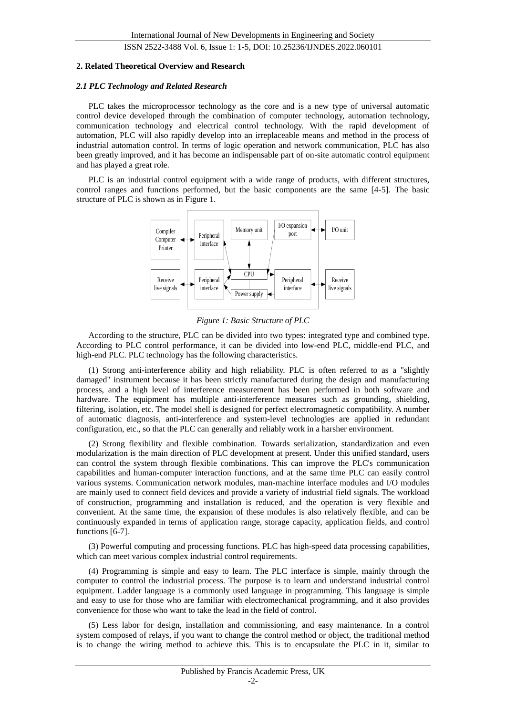ISSN 2522-3488 Vol. 6, Issue 1: 1-5, DOI: 10.25236/IJNDES.2022.060101

#### **2. Related Theoretical Overview and Research**

#### *2.1 PLC Technology and Related Research*

PLC takes the microprocessor technology as the core and is a new type of universal automatic control device developed through the combination of computer technology, automation technology, communication technology and electrical control technology. With the rapid development of automation, PLC will also rapidly develop into an irreplaceable means and method in the process of industrial automation control. In terms of logic operation and network communication, PLC has also been greatly improved, and it has become an indispensable part of on-site automatic control equipment and has played a great role.

PLC is an industrial control equipment with a wide range of products, with different structures, control ranges and functions performed, but the basic components are the same [4-5]. The basic structure of PLC is shown as in Figure 1.



*Figure 1: Basic Structure of PLC*

According to the structure, PLC can be divided into two types: integrated type and combined type. According to PLC control performance, it can be divided into low-end PLC, middle-end PLC, and high-end PLC. PLC technology has the following characteristics.

(1) Strong anti-interference ability and high reliability. PLC is often referred to as a "slightly damaged" instrument because it has been strictly manufactured during the design and manufacturing process, and a high level of interference measurement has been performed in both software and hardware. The equipment has multiple anti-interference measures such as grounding, shielding, filtering, isolation, etc. The model shell is designed for perfect electromagnetic compatibility. A number of automatic diagnosis, anti-interference and system-level technologies are applied in redundant configuration, etc., so that the PLC can generally and reliably work in a harsher environment.

(2) Strong flexibility and flexible combination. Towards serialization, standardization and even modularization is the main direction of PLC development at present. Under this unified standard, users can control the system through flexible combinations. This can improve the PLC's communication capabilities and human-computer interaction functions, and at the same time PLC can easily control various systems. Communication network modules, man-machine interface modules and I/O modules are mainly used to connect field devices and provide a variety of industrial field signals. The workload of construction, programming and installation is reduced, and the operation is very flexible and convenient. At the same time, the expansion of these modules is also relatively flexible, and can be continuously expanded in terms of application range, storage capacity, application fields, and control functions [6-7].

(3) Powerful computing and processing functions. PLC has high-speed data processing capabilities, which can meet various complex industrial control requirements.

(4) Programming is simple and easy to learn. The PLC interface is simple, mainly through the computer to control the industrial process. The purpose is to learn and understand industrial control equipment. Ladder language is a commonly used language in programming. This language is simple and easy to use for those who are familiar with electromechanical programming, and it also provides convenience for those who want to take the lead in the field of control.

(5) Less labor for design, installation and commissioning, and easy maintenance. In a control system composed of relays, if you want to change the control method or object, the traditional method is to change the wiring method to achieve this. This is to encapsulate the PLC in it, similar to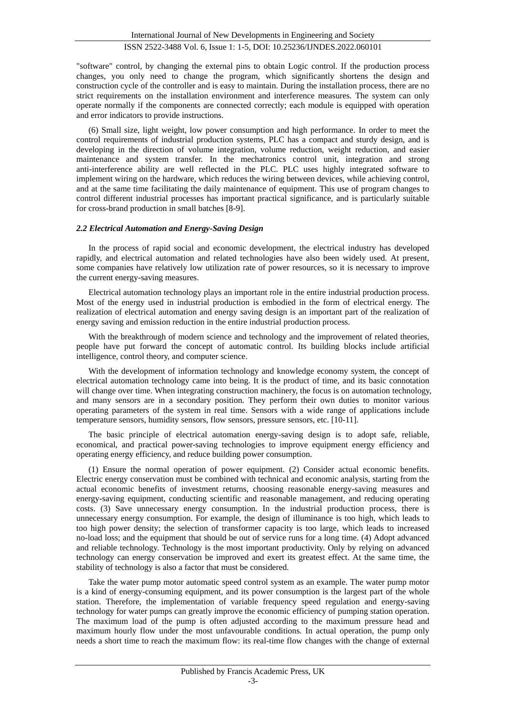## ISSN 2522-3488 Vol. 6, Issue 1: 1-5, DOI: 10.25236/IJNDES.2022.060101

"software" control, by changing the external pins to obtain Logic control. If the production process changes, you only need to change the program, which significantly shortens the design and construction cycle of the controller and is easy to maintain. During the installation process, there are no strict requirements on the installation environment and interference measures. The system can only operate normally if the components are connected correctly; each module is equipped with operation and error indicators to provide instructions.

(6) Small size, light weight, low power consumption and high performance. In order to meet the control requirements of industrial production systems, PLC has a compact and sturdy design, and is developing in the direction of volume integration, volume reduction, weight reduction, and easier maintenance and system transfer. In the mechatronics control unit, integration and strong anti-interference ability are well reflected in the PLC. PLC uses highly integrated software to implement wiring on the hardware, which reduces the wiring between devices, while achieving control, and at the same time facilitating the daily maintenance of equipment. This use of program changes to control different industrial processes has important practical significance, and is particularly suitable for cross-brand production in small batches [8-9].

## *2.2 Electrical Automation and Energy-Saving Design*

In the process of rapid social and economic development, the electrical industry has developed rapidly, and electrical automation and related technologies have also been widely used. At present, some companies have relatively low utilization rate of power resources, so it is necessary to improve the current energy-saving measures.

Electrical automation technology plays an important role in the entire industrial production process. Most of the energy used in industrial production is embodied in the form of electrical energy. The realization of electrical automation and energy saving design is an important part of the realization of energy saving and emission reduction in the entire industrial production process.

With the breakthrough of modern science and technology and the improvement of related theories, people have put forward the concept of automatic control. Its building blocks include artificial intelligence, control theory, and computer science.

With the development of information technology and knowledge economy system, the concept of electrical automation technology came into being. It is the product of time, and its basic connotation will change over time. When integrating construction machinery, the focus is on automation technology, and many sensors are in a secondary position. They perform their own duties to monitor various operating parameters of the system in real time. Sensors with a wide range of applications include temperature sensors, humidity sensors, flow sensors, pressure sensors, etc. [10-11].

The basic principle of electrical automation energy-saving design is to adopt safe, reliable, economical, and practical power-saving technologies to improve equipment energy efficiency and operating energy efficiency, and reduce building power consumption.

(1) Ensure the normal operation of power equipment. (2) Consider actual economic benefits. Electric energy conservation must be combined with technical and economic analysis, starting from the actual economic benefits of investment returns, choosing reasonable energy-saving measures and energy-saving equipment, conducting scientific and reasonable management, and reducing operating costs. (3) Save unnecessary energy consumption. In the industrial production process, there is unnecessary energy consumption. For example, the design of illuminance is too high, which leads to too high power density; the selection of transformer capacity is too large, which leads to increased no-load loss; and the equipment that should be out of service runs for a long time. (4) Adopt advanced and reliable technology. Technology is the most important productivity. Only by relying on advanced technology can energy conservation be improved and exert its greatest effect. At the same time, the stability of technology is also a factor that must be considered.

Take the water pump motor automatic speed control system as an example. The water pump motor is a kind of energy-consuming equipment, and its power consumption is the largest part of the whole station. Therefore, the implementation of variable frequency speed regulation and energy-saving technology for water pumps can greatly improve the economic efficiency of pumping station operation. The maximum load of the pump is often adjusted according to the maximum pressure head and maximum hourly flow under the most unfavourable conditions. In actual operation, the pump only needs a short time to reach the maximum flow: its real-time flow changes with the change of external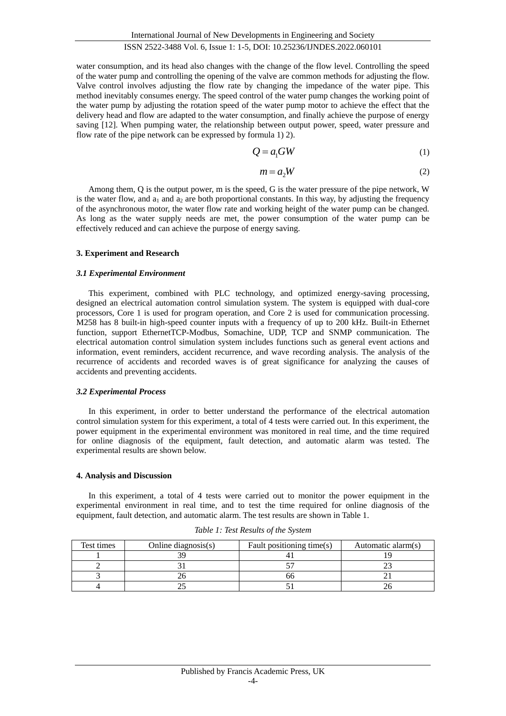## ISSN 2522-3488 Vol. 6, Issue 1: 1-5, DOI: 10.25236/IJNDES.2022.060101

water consumption, and its head also changes with the change of the flow level. Controlling the speed of the water pump and controlling the opening of the valve are common methods for adjusting the flow. Valve control involves adjusting the flow rate by changing the impedance of the water pipe. This method inevitably consumes energy. The speed control of the water pump changes the working point of the water pump by adjusting the rotation speed of the water pump motor to achieve the effect that the delivery head and flow are adapted to the water consumption, and finally achieve the purpose of energy saving [12]. When pumping water, the relationship between output power, speed, water pressure and flow rate of the pipe network can be expressed by formula 1) 2).

$$
Q = a_1 GW \tag{1}
$$

$$
m = a_2 W \tag{2}
$$

Among them, Q is the output power, m is the speed, G is the water pressure of the pipe network, W is the water flow, and  $a_1$  and  $a_2$  are both proportional constants. In this way, by adjusting the frequency of the asynchronous motor, the water flow rate and working height of the water pump can be changed. As long as the water supply needs are met, the power consumption of the water pump can be effectively reduced and can achieve the purpose of energy saving.

## **3. Experiment and Research**

## *3.1 Experimental Environment*

This experiment, combined with PLC technology, and optimized energy-saving processing, designed an electrical automation control simulation system. The system is equipped with dual-core processors, Core 1 is used for program operation, and Core 2 is used for communication processing. M258 has 8 built-in high-speed counter inputs with a frequency of up to 200 kHz. Built-in Ethernet function, support EthernetTCP-Modbus, Somachine, UDP, TCP and SNMP communication. The electrical automation control simulation system includes functions such as general event actions and information, event reminders, accident recurrence, and wave recording analysis. The analysis of the recurrence of accidents and recorded waves is of great significance for analyzing the causes of accidents and preventing accidents.

## *3.2 Experimental Process*

In this experiment, in order to better understand the performance of the electrical automation control simulation system for this experiment, a total of 4 tests were carried out. In this experiment, the power equipment in the experimental environment was monitored in real time, and the time required for online diagnosis of the equipment, fault detection, and automatic alarm was tested. The experimental results are shown below.

## **4. Analysis and Discussion**

In this experiment, a total of 4 tests were carried out to monitor the power equipment in the experimental environment in real time, and to test the time required for online diagnosis of the equipment, fault detection, and automatic alarm. The test results are shown in Table 1.

| Test times | Online diagnosis $(s)$ | Fault positioning time(s) | Automatic alarm(s) |
|------------|------------------------|---------------------------|--------------------|
|            |                        |                           |                    |
|            |                        |                           |                    |
|            |                        |                           |                    |
|            |                        |                           |                    |

*Table 1: Test Results of the System*